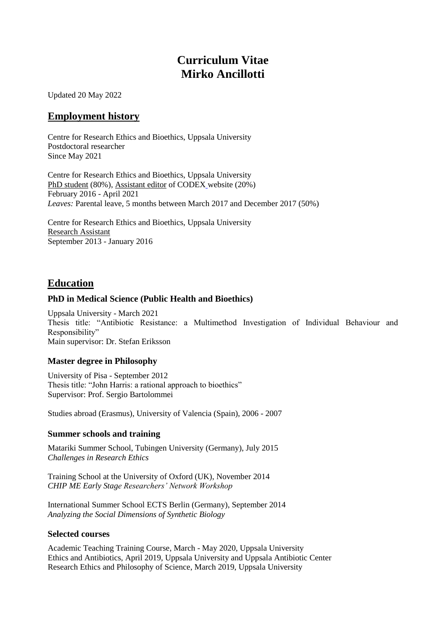# **Curriculum Vitae Mirko Ancillotti**

Updated 20 May 2022

### **Employment history**

Centre for Research Ethics and Bioethics, Uppsala University Postdoctoral researcher Since May 2021

Centre for Research Ethics and Bioethics, Uppsala University PhD student (80%), Assistant editor of CODEX website (20%) February 2016 - April 2021 *Leaves:* Parental leave, 5 months between March 2017 and December 2017 (50%)

Centre for Research Ethics and Bioethics, Uppsala University Research Assistant September 2013 - January 2016

### **Education**

### **PhD in Medical Science (Public Health and Bioethics)**

Uppsala University - March 2021 Thesis title: "Antibiotic Resistance: a Multimethod Investigation of Individual Behaviour and Responsibility" Main supervisor: Dr. Stefan Eriksson

### **Master degree in Philosophy**

University of Pisa - September 2012 Thesis title: "John Harris: a rational approach to bioethics" Supervisor: Prof. Sergio Bartolommei

Studies abroad (Erasmus), University of Valencia (Spain), 2006 - 2007

### **Summer schools and training**

Matariki Summer School, Tubingen University (Germany), July 2015 *Challenges in Research Ethics*

Training School at the University of Oxford (UK), November 2014 *CHIP ME Early Stage Researchers' Network Workshop*

International Summer School ECTS Berlin (Germany), September 2014 *Analyzing the Social Dimensions of Synthetic Biology*

### **Selected courses**

Academic Teaching Training Course, March - May 2020, Uppsala University Ethics and Antibiotics, April 2019, Uppsala University and Uppsala Antibiotic Center Research Ethics and Philosophy of Science, March 2019, Uppsala University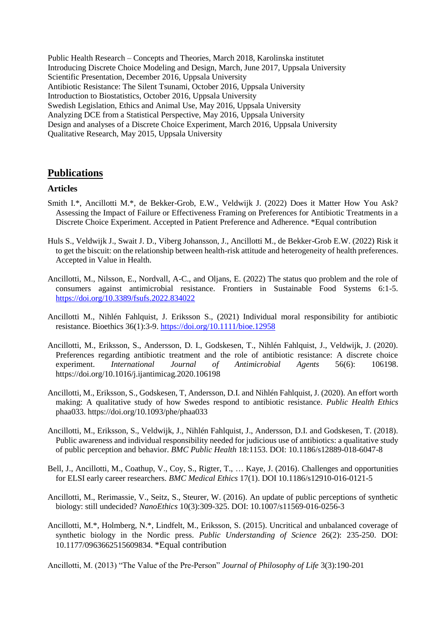Public Health Research – Concepts and Theories, March 2018, Karolinska institutet Introducing Discrete Choice Modeling and Design, March, June 2017, Uppsala University Scientific Presentation, December 2016, Uppsala University Antibiotic Resistance: The Silent Tsunami, October 2016, Uppsala University Introduction to Biostatistics, October 2016, Uppsala University Swedish Legislation, Ethics and Animal Use, May 2016, Uppsala University Analyzing DCE from a Statistical Perspective, May 2016, Uppsala University Design and analyses of a Discrete Choice Experiment, March 2016, Uppsala University Qualitative Research, May 2015, Uppsala University

### **Publications**

#### **Articles**

- Smith I.\*, Ancillotti M.\*, de Bekker-Grob, E.W., Veldwijk J. (2022) Does it Matter How You Ask? Assessing the Impact of Failure or Effectiveness Framing on Preferences for Antibiotic Treatments in a Discrete Choice Experiment. Accepted in Patient Preference and Adherence. \*Equal contribution
- Huls S., Veldwijk J., Swait J. D., Viberg Johansson, J., Ancillotti M., de Bekker-Grob E.W. (2022) Risk it to get the biscuit: on the relationship between health-risk attitude and heterogeneity of health preferences. Accepted in Value in Health.
- Ancillotti, M., Nilsson, E., Nordvall, A-C., and Oljans, E. (2022) The status quo problem and the role of consumers against antimicrobial resistance. Frontiers in Sustainable Food Systems 6:1-5. <https://doi.org/10.3389/fsufs.2022.834022>
- Ancillotti M., Nihlén Fahlquist, J. Eriksson S., (2021) Individual moral responsibility for antibiotic resistance. Bioethics 36(1):3-9.<https://doi.org/10.1111/bioe.12958>
- Ancillotti, M., Eriksson, S., Andersson, D. I., Godskesen, T., Nihlén Fahlquist, J., Veldwijk, J. (2020). Preferences regarding antibiotic treatment and the role of antibiotic resistance: A discrete choice experiment. *International Journal of Antimicrobial Agents* 56(6): 106198. <https://doi.org/10.1016/j.ijantimicag.2020.106198>
- Ancillotti, M., Eriksson, S., Godskesen, T, Andersson, D.I. and Nihlén Fahlquist, J. (2020). An effort worth making: A qualitative study of how Swedes respond to antibiotic resistance. *Public Health Ethics* phaa033.<https://doi.org/10.1093/phe/phaa033>
- Ancillotti, M., Eriksson, S., Veldwijk, J., Nihlén Fahlquist, J., Andersson, D.I. and Godskesen, T. (2018). Public awareness and individual responsibility needed for judicious use of antibiotics: a qualitative study of public perception and behavior. *BMC Public Health* 18:1153. DOI: [10.1186/s12889-018-6047-8](https://doi.org/10.1186/s12889-018-6047-8)
- Bell, J., Ancillotti, M., Coathup, V., Coy, S., Rigter, T., … Kaye, J. (2016). Challenges and opportunities for ELSI early career researchers. *BMC Medical Ethics* 17(1). DOI 10.1186/s12910-016-0121-5
- Ancillotti, M., Rerimassie, V., Seitz, S., Steurer, W. (2016). An update of public perceptions of synthetic biology: still undecided? *NanoEthics* 10(3):309-325. DOI: 10.1007/s11569-016-0256-3
- Ancillotti, M.\*, Holmberg, N.\*, Lindfelt, M., Eriksson, S. (2015). Uncritical and unbalanced coverage of synthetic biology in the Nordic press. *Public Understanding of Science* 26(2): 235-250. DOI: 10.1177/0963662515609834. \*Equal contribution

Ancillotti, M. (2013) "The Value of the Pre-Person" *Journal of Philosophy of Life* 3(3):190-201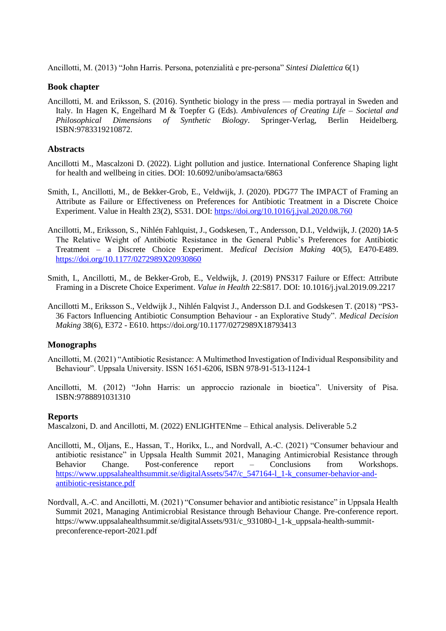Ancillotti, M. (2013) "John Harris. Persona, potenzialità e pre-persona" *Sintesi Dialettica* 6(1)

### **Book chapter**

Ancillotti, M. and Eriksson, S. (2016). Synthetic biology in the press — media portrayal in Sweden and Italy. In Hagen K, Engelhard M & Toepfer G (Eds). *Ambivalences of Creating Life – Societal and Philosophical Dimensions of Synthetic Biology*. Springer-Verlag, Berlin Heidelberg. ISBN:9783319210872.

### **Abstracts**

- Ancillotti M., Mascalzoni D. (2022). Light pollution and justice. International Conference Shaping light for health and wellbeing in cities. DOI: 10.6092/unibo/amsacta/6863
- Smith, I., Ancillotti, M., de Bekker-Grob, E., Veldwijk, J. (2020). PDG77 The IMPACT of Framing an Attribute as Failure or Effectiveness on Preferences for Antibiotic Treatment in a Discrete Choice Experiment. Value in Health 23(2), S531. DOI:<https://doi.org/10.1016/j.jval.2020.08.760>
- Ancillotti, M., Eriksson, S., Nihlén Fahlquist, J., Godskesen, T., Andersson, D.I., Veldwijk, J. (2020) 1A-5 The Relative Weight of Antibiotic Resistance in the General Public's Preferences for Antibiotic Treatment – a Discrete Choice Experiment. *Medical Decision Making* 40(5), E470-E489. <https://doi.org/10.1177/0272989X20930860>
- Smith, I., Ancillotti, M., de Bekker-Grob, E., Veldwijk, J. (2019) PNS317 Failure or Effect: Attribute Framing in a Discrete Choice Experiment. *Value in Health* 22:S817. DOI: 10.1016/j.jval.2019.09.2217
- Ancillotti M., Eriksson S., Veldwijk J., Nihlén Falqvist J., Andersson D.I. and Godskesen T. (2018) "PS3- 36 Factors Influencing Antibiotic Consumption Behaviour - an Explorative Study". *Medical Decision Making* 38(6), E372 - E610. [https://doi.org/10.1177/0272989X18793413](https://doi.org/10.1177%2F0272989X18793413)

### **Monographs**

- Ancillotti, M. (2021) "Antibiotic Resistance: A Multimethod Investigation of Individual Responsibility and Behaviour". Uppsala University. ISSN 1651-6206, ISBN 978-91-513-1124-1
- Ancillotti, M. (2012) "John Harris: un approccio razionale in bioetica". University of Pisa. ISBN:9788891031310

### **Reports**

Mascalzoni, D. and Ancillotti, M. (2022) ENLIGHTENme – Ethical analysis. Deliverable 5.2

- Ancillotti, M., Oljans, E., Hassan, T., Horikx, L., and Nordvall, A.-C. (2021) "Consumer behaviour and antibiotic resistance" in Uppsala Health Summit 2021, Managing Antimicrobial Resistance through Behavior Change. Post-conference report – Conclusions from Workshops. [https://www.uppsalahealthsummit.se/digitalAssets/547/c\\_547164-l\\_1-k\\_consumer-behavior-and](https://www.uppsalahealthsummit.se/digitalAssets/547/c_547164-l_1-k_consumer-behavior-and-antibiotic-resistance.pdf)[antibiotic-resistance.pdf](https://www.uppsalahealthsummit.se/digitalAssets/547/c_547164-l_1-k_consumer-behavior-and-antibiotic-resistance.pdf)
- Nordvall, A.-C. and Ancillotti, M. (2021) "Consumer behavior and antibiotic resistance" in Uppsala Health Summit 2021, Managing Antimicrobial Resistance through Behaviour Change. Pre-conference report. https://www.uppsalahealthsummit.se/digitalAssets/931/c\_931080-l\_1-k\_uppsala-health-summitpreconference-report-2021.pdf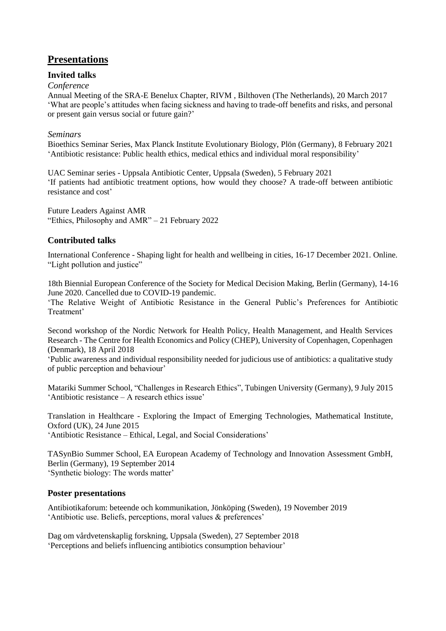## **Presentations**

### **Invited talks**

### *Conference*

Annual Meeting of the SRA-E Benelux Chapter, RIVM , Bilthoven (The Netherlands), 20 March 2017 'What are people's attitudes when facing sickness and having to trade-off benefits and risks, and personal or present gain versus social or future gain?'

### *Seminars*

Bioethics Seminar Series, Max Planck Institute Evolutionary Biology, Plön (Germany), 8 February 2021 'Antibiotic resistance: Public health ethics, medical ethics and individual moral responsibility'

UAC Seminar series - Uppsala Antibiotic Center, Uppsala (Sweden), 5 February 2021 'If patients had antibiotic treatment options, how would they choose? A trade-off between antibiotic resistance and cost'

Future Leaders Against AMR "Ethics, Philosophy and AMR" – 21 February 2022

### **Contributed talks**

International Conference - Shaping light for health and wellbeing in cities, 16-17 December 2021. Online. "Light pollution and justice"

18th Biennial European Conference of the Society for Medical Decision Making, Berlin (Germany), 14-16 June 2020. Cancelled due to COVID-19 pandemic.

'The Relative Weight of Antibiotic Resistance in the General Public's Preferences for Antibiotic Treatment'

Second workshop of the Nordic Network for Health Policy, Health Management, and Health Services Research - The Centre for Health Economics and Policy (CHEP), University of Copenhagen, Copenhagen (Denmark), 18 April 2018

'Public awareness and individual responsibility needed for judicious use of antibiotics: a qualitative study of public perception and behaviour'

Matariki Summer School, "Challenges in Research Ethics", Tubingen University (Germany), 9 July 2015 'Antibiotic resistance – A research ethics issue'

Translation in Healthcare - Exploring the Impact of Emerging Technologies, Mathematical Institute, Oxford (UK), 24 June 2015 'Antibiotic Resistance – Ethical, Legal, and Social Considerations'

TASynBio Summer School, EA European Academy of Technology and Innovation Assessment GmbH, Berlin (Germany), 19 September 2014 'Synthetic biology: The words matter'

### **Poster presentations**

Antibiotikaforum: beteende och kommunikation, Jönköping (Sweden), 19 November 2019 'Antibiotic use. Beliefs, perceptions, moral values & preferences'

Dag om vårdvetenskaplig forskning, Uppsala (Sweden), 27 September 2018 'Perceptions and beliefs influencing antibiotics consumption behaviour'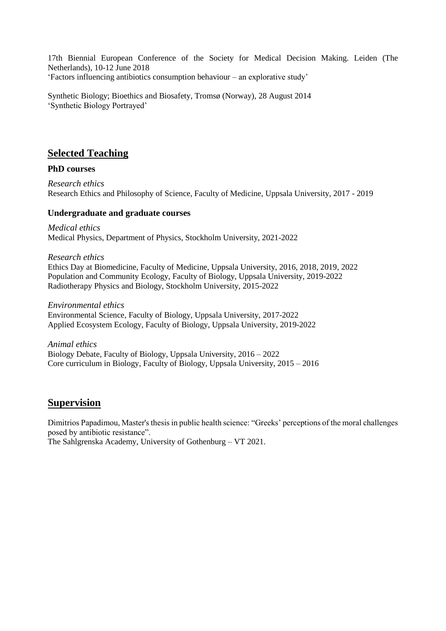17th Biennial European Conference of the Society for Medical Decision Making. Leiden (The Netherlands), 10-12 June 2018 'Factors influencing antibiotics consumption behaviour – an explorative study'

Synthetic Biology; Bioethics and Biosafety, Tromsø (Norway), 28 August 2014 'Synthetic Biology Portrayed'

## **Selected Teaching**

### **PhD courses**

*Research ethics* Research Ethics and Philosophy of Science, Faculty of Medicine, Uppsala University, 2017 - 2019

### **Undergraduate and graduate courses**

*Medical ethics* Medical Physics, Department of Physics, Stockholm University, 2021-2022

*Research ethics* Ethics Day at Biomedicine, Faculty of Medicine, Uppsala University, 2016, 2018, 2019, 2022 Population and Community Ecology, Faculty of Biology, Uppsala University, 2019-2022 Radiotherapy Physics and Biology, Stockholm University, 2015-2022

*Environmental ethics* Environmental Science, Faculty of Biology, Uppsala University, 2017-2022 Applied Ecosystem Ecology, Faculty of Biology, Uppsala University, 2019-2022

*Animal ethics* Biology Debate, Faculty of Biology, Uppsala University, 2016 – 2022 Core curriculum in Biology, Faculty of Biology, Uppsala University, 2015 – 2016

## **Supervision**

Dimitrios Papadimou, Master's thesis in public health science: "Greeks' perceptions of the moral challenges posed by antibiotic resistance".

The Sahlgrenska Academy, University of Gothenburg – VT 2021.